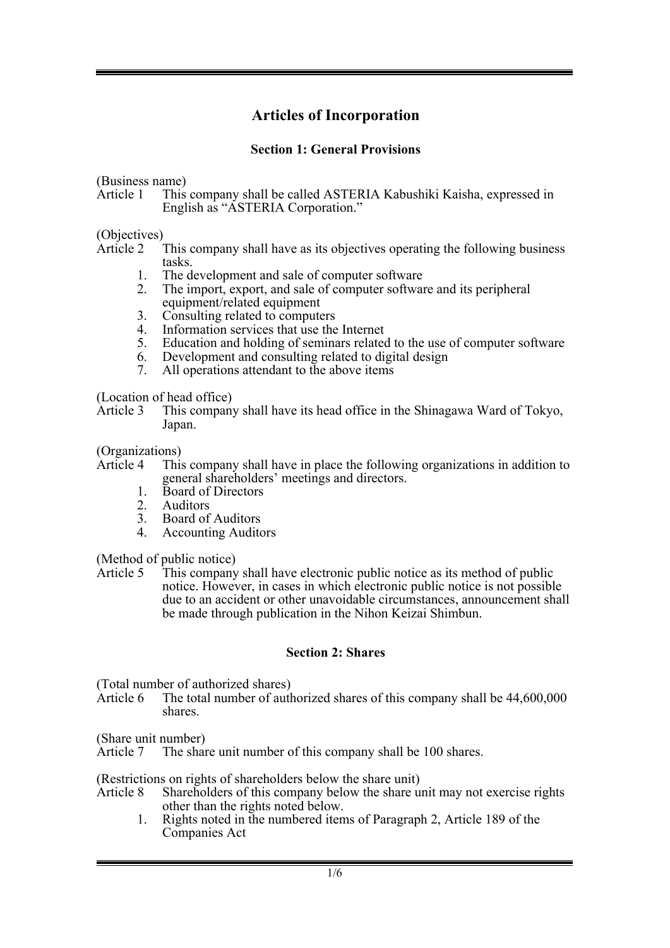# **Articles of Incorporation**

## **Section 1: General Provisions**

(Business name)<br>Article 1 This

This company shall be called ASTERIA Kabushiki Kaisha, expressed in English as "ASTERIA Corporation."

(Objectives)

Article 2 This company shall have as its objectives operating the following business

- tasks. 1. The development and sale of computer software
- 2. The import, export, and sale of computer software and its peripheral equipment/related equipment
- 3. Consulting related to computers<br>4. Information services that use the
- Information services that use the Internet
- 5. Education and holding of seminars related to the use of computer software
- 6. Development and consulting related to digital design<br>7. All operations attendant to the above items
- All operations attendant to the above items

(Location of head office)

Article 3 This company shall have its head office in the Shinagawa Ward of Tokyo, Japan.

(Organizations)

- Article 4 This company shall have in place the following organizations in addition to general shareholders' meetings and directors. 1. Board of Directors
	-
	-
	- 2. Auditors<br>3. Board of Board of Auditors
	- 4. Accounting Auditors

(Method of public notice)

Article 5 This company shall have electronic public notice as its method of public notice. However, in cases in which electronic public notice is not possible due to an accident or other unavoidable circumstances, announcement shall be made through publication in the Nihon Keizai Shimbun.

### **Section 2: Shares**

(Total number of authorized shares)<br>Article 6 The total number of auth

The total number of authorized shares of this company shall be  $44,600,000$ shares.

(Share unit number)

Article 7 The share unit number of this company shall be 100 shares.

(Restrictions on rights of shareholders below the share unit)

- Article 8 Shareholders of this company below the share unit may not exercise rights other than the rights noted below.
	- 1. Rights noted in the numbered items of Paragraph 2, Article 189 of the Companies Act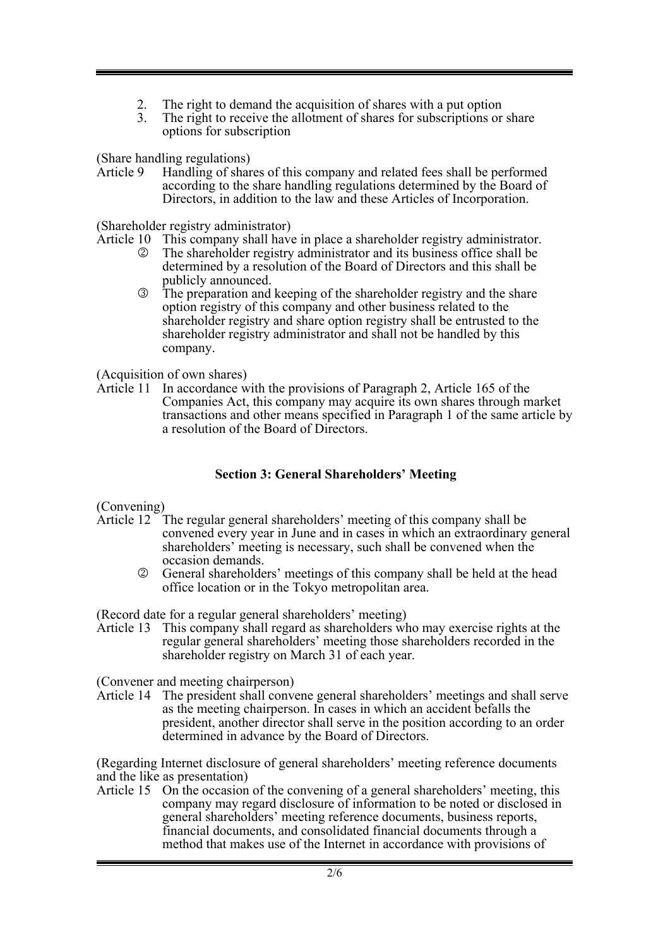- 2. The right to demand the acquisition of shares with a put option<br>3. The right to receive the allotment of shares for subscriptions or
- The right to receive the allotment of shares for subscriptions or share options for subscription

(Share handling regulations)<br>Article 9 Handling of shar

Handling of shares of this company and related fees shall be performed according to the share handling regulations determined by the Board of Directors, in addition to the law and these Articles of Incorporation.

(Shareholder registry administrator)

- Article 10 This company shall have in place a shareholder registry administrator.<br> **2** The shareholder registry administrator and its business office shall be
	- 2 The shareholder registry administrator and its business office shall be determined by a resolution of the Board of Directors and this shall be publicly announced.
	- 3 The preparation and keeping of the shareholder registry and the share option registry of this company and other business related to the shareholder registry and share option registry shall be entrusted to the shareholder registry administrator and shall not be handled by this company.

(Acquisition of own shares)

Article 11 In accordance with the provisions of Paragraph 2, Article 165 of the Companies Act, this company may acquire its own shares through market transactions and other means specified in Paragraph 1 of the same article by a resolution of the Board of Directors.

#### **Section 3: General Shareholders' Meeting**

(Convening)

- Article 12 The regular general shareholders' meeting of this company shall be convened every year in June and in cases in which an extraordinary general shareholders' meeting is necessary, such shall be convened when the occasion demands.
	- 2 General shareholders' meetings of this company shall be held at the head office location or in the Tokyo metropolitan area.

(Record date for a regular general shareholders' meeting)

Article 13 This company shall regard as shareholders who may exercise rights at the regular general shareholders' meeting those shareholders recorded in the shareholder registry on March 31 of each year.

(Convener and meeting chairperson)

Article 14 The president shall convene general shareholders' meetings and shall serve as the meeting chairperson. In cases in which an accident befalls the president, another director shall serve in the position according to an order determined in advance by the Board of Directors.

(Regarding Internet disclosure of general shareholders' meeting reference documents and the like as presentation)

Article 15 On the occasion of the convening of a general shareholders' meeting, this company may regard disclosure of information to be noted or disclosed in general shareholders' meeting reference documents, business reports, financial documents, and consolidated financial documents through a method that makes use of the Internet in accordance with provisions of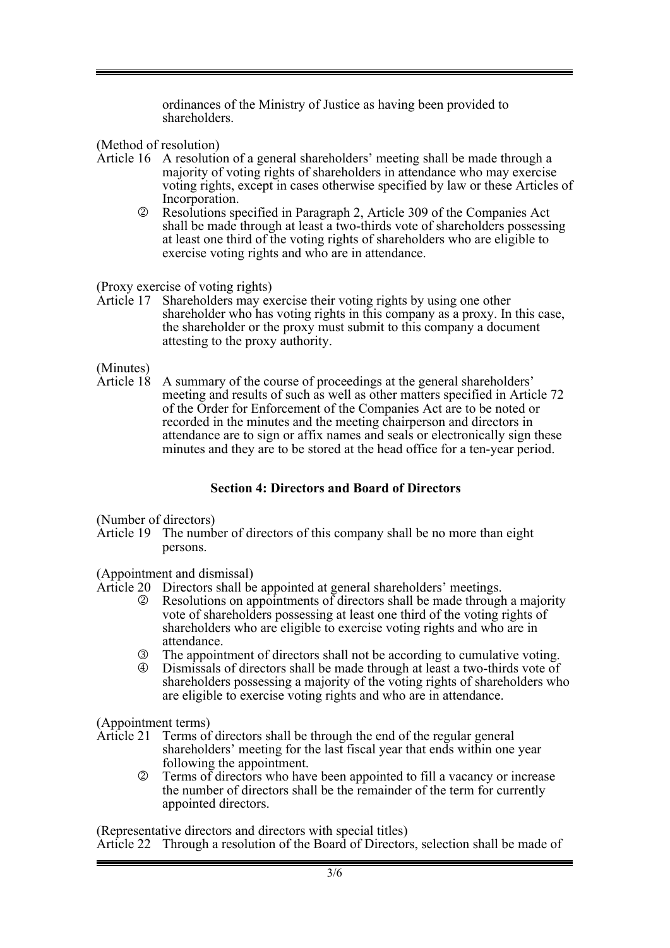ordinances of the Ministry of Justice as having been provided to shareholders.

(Method of resolution)

- Article 16 A resolution of a general shareholders' meeting shall be made through a majority of voting rights of shareholders in attendance who may exercise voting rights, except in cases otherwise specified by law or these Articles of Incorporation.
	- 2 Resolutions specified in Paragraph 2, Article 309 of the Companies Act shall be made through at least a two-thirds vote of shareholders possessing at least one third of the voting rights of shareholders who are eligible to exercise voting rights and who are in attendance.

(Proxy exercise of voting rights)

Article 17 Shareholders may exercise their voting rights by using one other shareholder who has voting rights in this company as a proxy. In this case, the shareholder or the proxy must submit to this company a document attesting to the proxy authority.

(Minutes)<br>Article 18

A summary of the course of proceedings at the general shareholders' meeting and results of such as well as other matters specified in Article 72 of the Order for Enforcement of the Companies Act are to be noted or recorded in the minutes and the meeting chairperson and directors in attendance are to sign or affix names and seals or electronically sign these minutes and they are to be stored at the head office for a ten-year period.

# **Section 4: Directors and Board of Directors**

(Number of directors)

Article 19 The number of directors of this company shall be no more than eight persons.

(Appointment and dismissal)

- Article 20 Directors shall be appointed at general shareholders' meetings.
	- 2 Resolutions on appointments of directors shall be made through a majority vote of shareholders possessing at least one third of the voting rights of shareholders who are eligible to exercise voting rights and who are in attendance.
	- 3 The appointment of directors shall not be according to cumulative voting.
	- 4 Dismissals of directors shall be made through at least a two-thirds vote of shareholders possessing a majority of the voting rights of shareholders who are eligible to exercise voting rights and who are in attendance.

(Appointment terms)

- Article 21 Terms of directors shall be through the end of the regular general shareholders' meeting for the last fiscal year that ends within one year following the appointment.
	- 2 Terms of directors who have been appointed to fill a vacancy or increase the number of directors shall be the remainder of the term for currently appointed directors.

(Representative directors and directors with special titles) Article 22 Through a resolution of the Board of Directors, selection shall be made of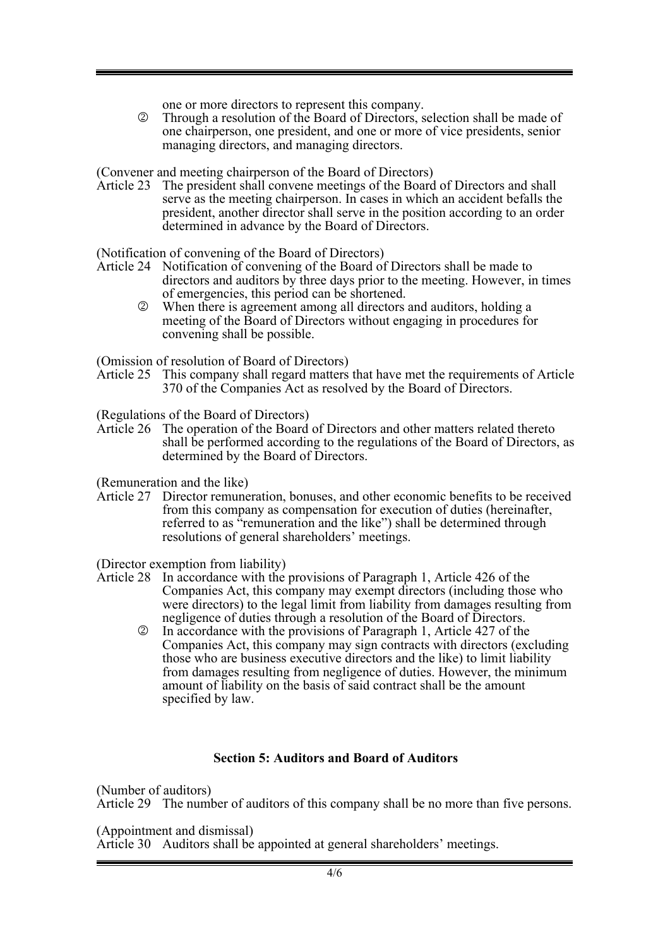one or more directors to represent this company.

2 Through a resolution of the Board of Directors, selection shall be made of one chairperson, one president, and one or more of vice presidents, senior managing directors, and managing directors.

(Convener and meeting chairperson of the Board of Directors)

Article 23 The president shall convene meetings of the Board of Directors and shall serve as the meeting chairperson. In cases in which an accident befalls the president, another director shall serve in the position according to an order determined in advance by the Board of Directors.

(Notification of convening of the Board of Directors)

- Article 24 Notification of convening of the Board of Directors shall be made to directors and auditors by three days prior to the meeting. However, in times of emergencies, this period can be shortened.
	- 2 When there is agreement among all directors and auditors, holding a meeting of the Board of Directors without engaging in procedures for convening shall be possible.

(Omission of resolution of Board of Directors)

Article 25 This company shall regard matters that have met the requirements of Article 370 of the Companies Act as resolved by the Board of Directors.

(Regulations of the Board of Directors)

Article 26 The operation of the Board of Directors and other matters related thereto shall be performed according to the regulations of the Board of Directors, as determined by the Board of Directors.

(Remuneration and the like)

Article 27 Director remuneration, bonuses, and other economic benefits to be received from this company as compensation for execution of duties (hereinafter, referred to as "remuneration and the like") shall be determined through resolutions of general shareholders' meetings.

(Director exemption from liability)

- Article 28 In accordance with the provisions of Paragraph 1, Article 426 of the Companies Act, this company may exempt directors (including those who were directors) to the legal limit from liability from damages resulting from negligence of duties through a resolution of the Board of Directors.
	- 2 In accordance with the provisions of Paragraph 1, Article 427 of the Companies Act, this company may sign contracts with directors (excluding those who are business executive directors and the like) to limit liability from damages resulting from negligence of duties. However, the minimum amount of liability on the basis of said contract shall be the amount specified by law.

### **Section 5: Auditors and Board of Auditors**

(Number of auditors) Article 29 The number of auditors of this company shall be no more than five persons.

(Appointment and dismissal)

Article 30 Auditors shall be appointed at general shareholders' meetings.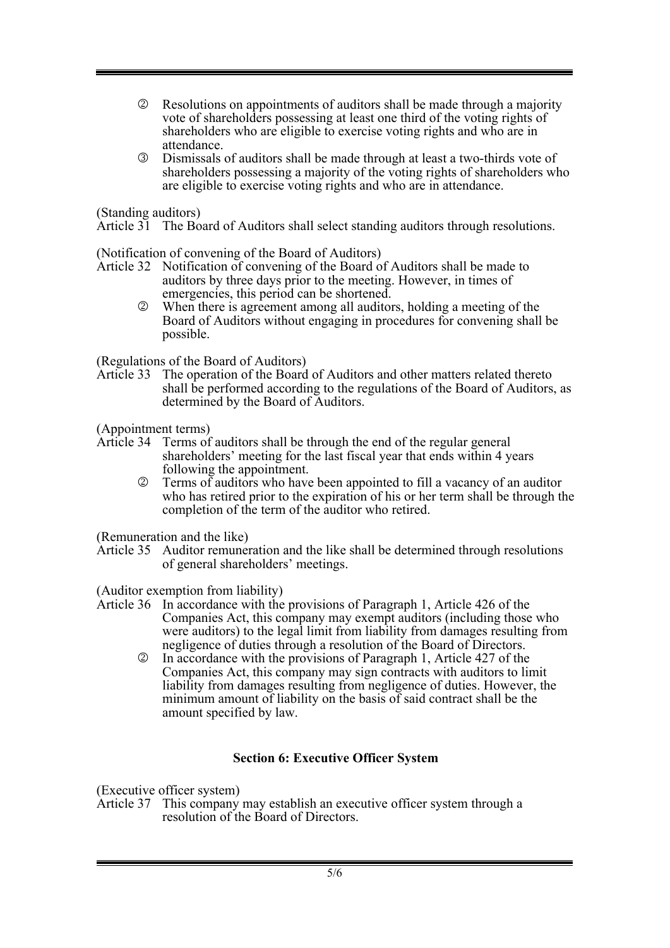- 2 Resolutions on appointments of auditors shall be made through a majority vote of shareholders possessing at least one third of the voting rights of shareholders who are eligible to exercise voting rights and who are in attendance.
- 3 Dismissals of auditors shall be made through at least a two-thirds vote of shareholders possessing a majority of the voting rights of shareholders who are eligible to exercise voting rights and who are in attendance.

(Standing auditors)

Article 31 The Board of Auditors shall select standing auditors through resolutions.

(Notification of convening of the Board of Auditors)

- Article 32 Notification of convening of the Board of Auditors shall be made to auditors by three days prior to the meeting. However, in times of emergencies, this period can be shortened.
	- 2 When there is agreement among all auditors, holding a meeting of the Board of Auditors without engaging in procedures for convening shall be possible.

(Regulations of the Board of Auditors)

Article 33 The operation of the Board of Auditors and other matters related thereto shall be performed according to the regulations of the Board of Auditors, as determined by the Board of Auditors.

(Appointment terms)

- Article 34 Terms of auditors shall be through the end of the regular general shareholders' meeting for the last fiscal year that ends within 4 years following the appointment.
	- 2 Terms of auditors who have been appointed to fill a vacancy of an auditor who has retired prior to the expiration of his or her term shall be through the completion of the term of the auditor who retired.

(Remuneration and the like)

Article 35 Auditor remuneration and the like shall be determined through resolutions of general shareholders' meetings.

(Auditor exemption from liability)

- Article 36 In accordance with the provisions of Paragraph 1, Article 426 of the Companies Act, this company may exempt auditors (including those who were auditors) to the legal limit from liability from damages resulting from negligence of duties through a resolution of the Board of Directors.
	- 2 In accordance with the provisions of Paragraph 1, Article 427 of the Companies Act, this company may sign contracts with auditors to limit liability from damages resulting from negligence of duties. However, the minimum amount of liability on the basis of said contract shall be the amount specified by law.

### **Section 6: Executive Officer System**

(Executive officer system)

Article 37 This company may establish an executive officer system through a resolution of the Board of Directors.